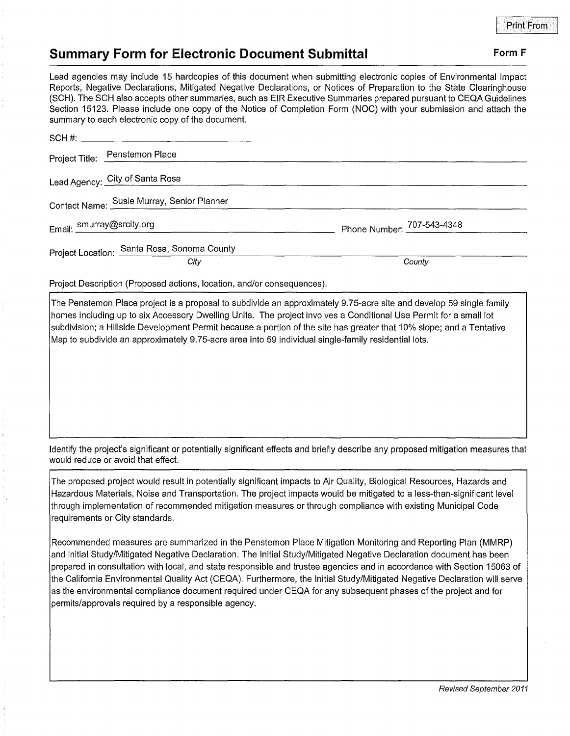## **Form F**

## **Summary Form for Electronic Document Submittal**

Lead agencies may include 15 hardcopies of this document when submitting electronic copies of Environmental Impact Reports, Negative Declarations, Mitigated Negative Declarations, or Notices of Preparation to the State Clearinghouse (SCH). The SCH also accepts other summaries, such as EIR Executive Summaries prepared pursuant to CEQA Guidelines Section 15123. Please include one copy of the Notice of Completion Form (NOC) with your submission and attach the summary to each electronic copy of the document.

| www.community.com/www.community.com/www.community/www.community/www.community/www.community/www.community/www.com |                            |
|-------------------------------------------------------------------------------------------------------------------|----------------------------|
|                                                                                                                   |                            |
| Project Title: Penstemon Place                                                                                    |                            |
| Lead Agency: City of Santa Rosa                                                                                   |                            |
| Contact Name: Susie Murray, Senior Planner                                                                        |                            |
| Email: smurray@srcity.org                                                                                         | Phone Number: 707-543-4348 |
| Project Location: Santa Rosa, Sonoma County<br>City                                                               | County                     |
|                                                                                                                   |                            |

Project Description (Proposed actions, location, and/or consequences).

The Penstemon Place project is a proposal to subdivide an approximately 9.75-acre site and develop 59 single family homes including up to six Accessory Dwelling Units. The project involves a Conditional Use Permit for a small lot subdivision; a Hillside Development Permit because a portion of the site has greater that 10% slope; and a Tentative Map to subdivide an approximately 9.75-acre area into 59 individual single-family residential lots.

Identify the project's significant or potentially significant effects and briefly describe any proposed mitigation measures that would reduce or avoid that effect.

The proposed project would result in potentially significant impacts to Air Quality, Biological Resources, Hazards and Hazardous Materials, Noise and Transportation. The project impacts would be mitigated to a less-than-significant level through implementation of recommended mitigation measures or through compliance with existing Municipal Code requirements or City standards.

Recommended measures are summarized in the Penstemon Place Mitigation Monitoring and Reporting Plan (MMRP) and Initial Study/Mitigated Negative Declaration. The Initial Study/Mitigated Negative Declaration document has been prepared in consultation with local, and state responsible and trustee agencies and in accordance with Section 15063 of the California Environmental Quality Act (CEQA). Furthermore, the Initial Study/Mitigated Negative Declaration will serve as the environmental compliance document required under CEQA for any subsequent phases of the project and for permits/approvals required by a responsible agency.